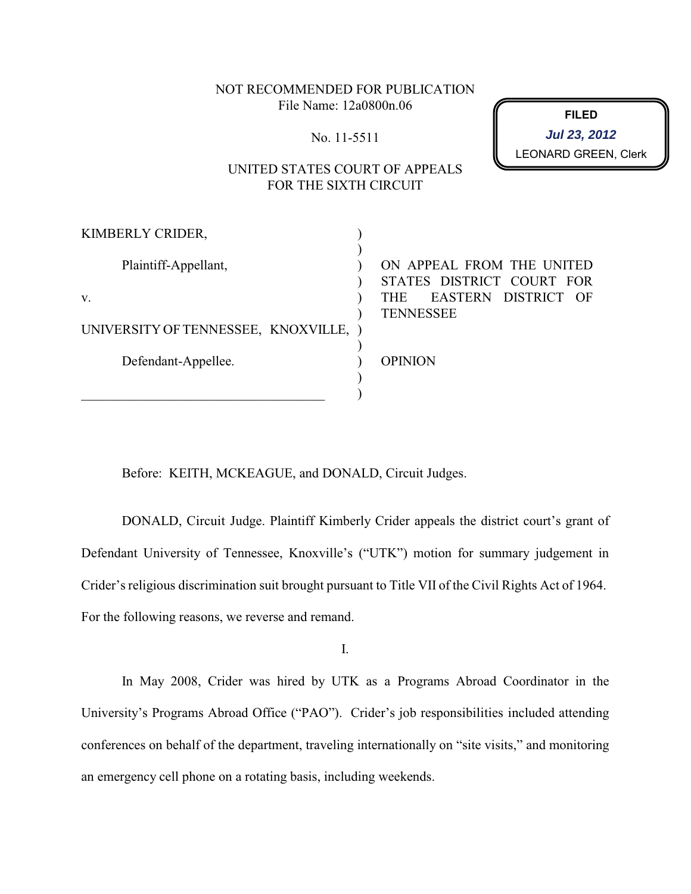NOT RECOMMENDED FOR PUBLICATION File Name: 12a0800n.06

No. 11-5511

**FILED** LEONARD GREEN, Clerk **Jul 23, 2012**

# UNITED STATES COURT OF APPEALS FOR THE SIXTH CIRCUIT

| KIMBERLY CRIDER,                      |                                                                                             |
|---------------------------------------|---------------------------------------------------------------------------------------------|
| Plaintiff-Appellant,<br>V.            | ON APPEAL FROM THE UNITED<br>STATES DISTRICT COURT FOR<br>EASTERN DISTRICT OF<br><b>THE</b> |
| UNIVERSITY OF TENNESSEE, KNOXVILLE, ) | <b>TENNESSEE</b>                                                                            |
| Defendant-Appellee.                   | <b>OPINION</b>                                                                              |
|                                       |                                                                                             |

Before: KEITH, MCKEAGUE, and DONALD, Circuit Judges.

DONALD, Circuit Judge. Plaintiff Kimberly Crider appeals the district court's grant of Defendant University of Tennessee, Knoxville's ("UTK") motion for summary judgement in Crider's religious discrimination suit brought pursuant to Title VII of the Civil Rights Act of 1964. For the following reasons, we reverse and remand.

I.

In May 2008, Crider was hired by UTK as a Programs Abroad Coordinator in the University's Programs Abroad Office ("PAO"). Crider's job responsibilities included attending conferences on behalf of the department, traveling internationally on "site visits," and monitoring an emergency cell phone on a rotating basis, including weekends.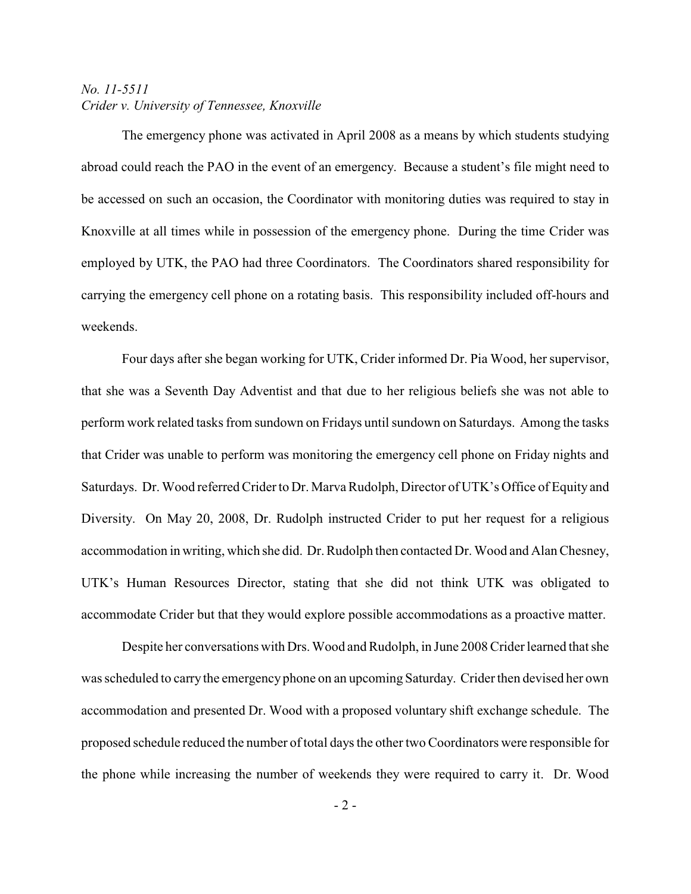The emergency phone was activated in April 2008 as a means by which students studying abroad could reach the PAO in the event of an emergency. Because a student's file might need to be accessed on such an occasion, the Coordinator with monitoring duties was required to stay in Knoxville at all times while in possession of the emergency phone. During the time Crider was employed by UTK, the PAO had three Coordinators. The Coordinators shared responsibility for carrying the emergency cell phone on a rotating basis. This responsibility included off-hours and weekends.

Four days after she began working for UTK, Crider informed Dr. Pia Wood, her supervisor, that she was a Seventh Day Adventist and that due to her religious beliefs she was not able to perform work related tasks from sundown on Fridays until sundown on Saturdays. Among the tasks that Crider was unable to perform was monitoring the emergency cell phone on Friday nights and Saturdays. Dr. Wood referred Crider to Dr. Marva Rudolph, Director of UTK's Office of Equity and Diversity. On May 20, 2008, Dr. Rudolph instructed Crider to put her request for a religious accommodation in writing, which she did. Dr. Rudolph then contacted Dr. Wood and Alan Chesney, UTK's Human Resources Director, stating that she did not think UTK was obligated to accommodate Crider but that they would explore possible accommodations as a proactive matter.

Despite her conversations with Drs. Wood and Rudolph, in June 2008 Crider learned that she was scheduled to carry the emergency phone on an upcoming Saturday. Crider then devised her own accommodation and presented Dr. Wood with a proposed voluntary shift exchange schedule. The proposed schedule reduced the number of total days the other two Coordinators were responsible for the phone while increasing the number of weekends they were required to carry it. Dr. Wood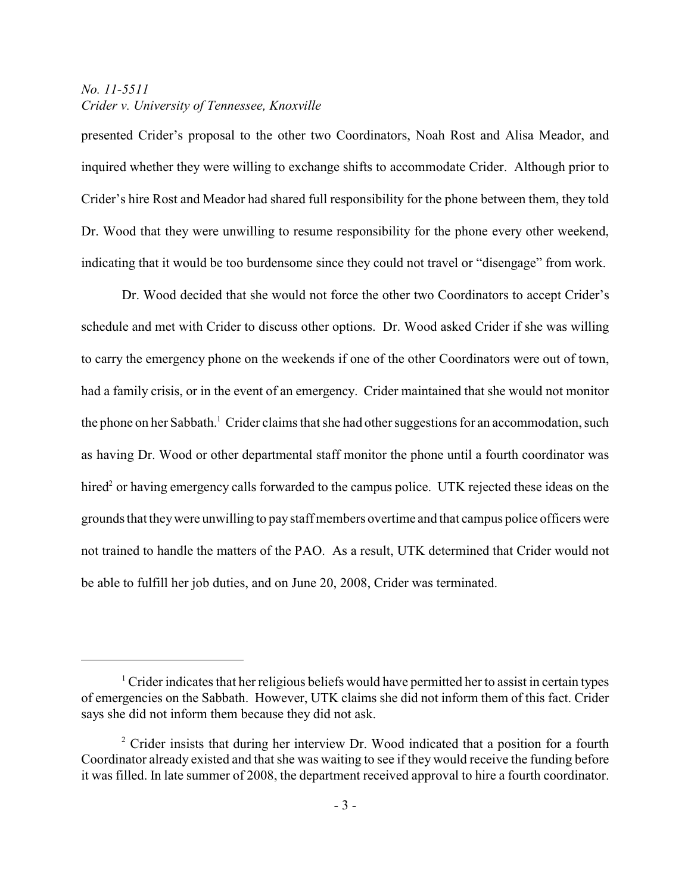presented Crider's proposal to the other two Coordinators, Noah Rost and Alisa Meador, and inquired whether they were willing to exchange shifts to accommodate Crider. Although prior to Crider's hire Rost and Meador had shared full responsibility for the phone between them, they told Dr. Wood that they were unwilling to resume responsibility for the phone every other weekend, indicating that it would be too burdensome since they could not travel or "disengage" from work.

Dr. Wood decided that she would not force the other two Coordinators to accept Crider's schedule and met with Crider to discuss other options. Dr. Wood asked Crider if she was willing to carry the emergency phone on the weekends if one of the other Coordinators were out of town, had a family crisis, or in the event of an emergency. Crider maintained that she would not monitor the phone on her Sabbath.<sup>1</sup> Crider claims that she had other suggestions for an accommodation, such as having Dr. Wood or other departmental staff monitor the phone until a fourth coordinator was hired<sup>2</sup> or having emergency calls forwarded to the campus police. UTK rejected these ideas on the grounds that theywere unwilling to pay staff members overtime and that campus police officers were not trained to handle the matters of the PAO. As a result, UTK determined that Crider would not be able to fulfill her job duties, and on June 20, 2008, Crider was terminated.

 $\frac{1}{1}$  Crider indicates that her religious beliefs would have permitted her to assist in certain types of emergencies on the Sabbath. However, UTK claims she did not inform them of this fact. Crider says she did not inform them because they did not ask.

 $2$  Crider insists that during her interview Dr. Wood indicated that a position for a fourth Coordinator already existed and that she was waiting to see if they would receive the funding before it was filled. In late summer of 2008, the department received approval to hire a fourth coordinator.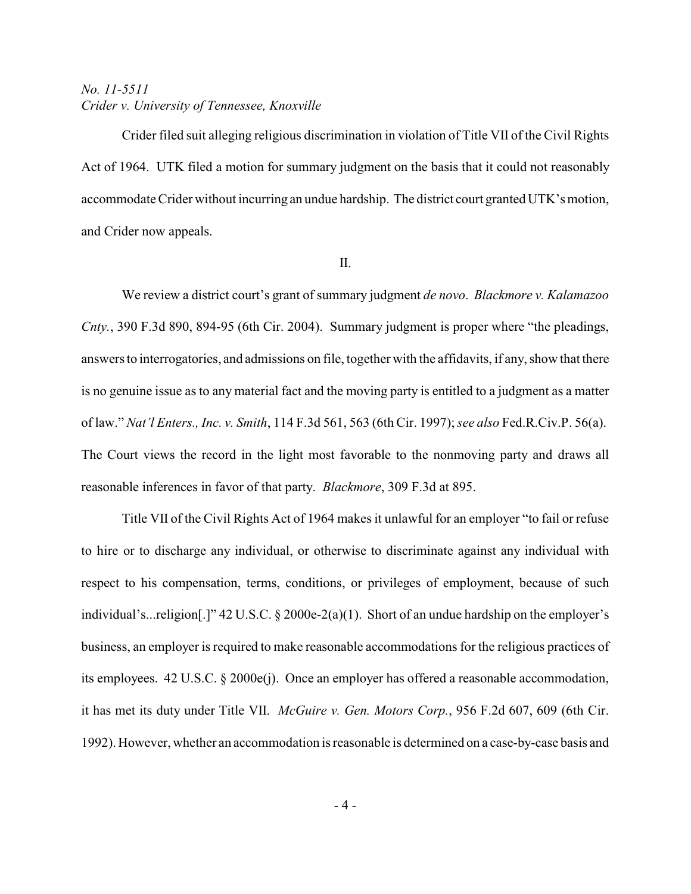Crider filed suit alleging religious discrimination in violation of Title VII of the Civil Rights Act of 1964. UTK filed a motion for summary judgment on the basis that it could not reasonably accommodate Crider without incurring an undue hardship. The district court granted UTK's motion, and Crider now appeals.

#### II.

We review a district court's grant of summary judgment *de novo*. *Blackmore v. Kalamazoo Cnty.*, 390 F.3d 890, 894-95 (6th Cir. 2004). Summary judgment is proper where "the pleadings, answers to interrogatories, and admissions on file, together with the affidavits, if any, show that there is no genuine issue as to any material fact and the moving party is entitled to a judgment as a matter of law." *Nat'l Enters., Inc. v. Smith*, 114 F.3d 561, 563 (6th Cir. 1997); *see also* Fed.R.Civ.P. 56(a). The Court views the record in the light most favorable to the nonmoving party and draws all reasonable inferences in favor of that party. *Blackmore*, 309 F.3d at 895.

Title VII of the Civil Rights Act of 1964 makes it unlawful for an employer "to fail or refuse to hire or to discharge any individual, or otherwise to discriminate against any individual with respect to his compensation, terms, conditions, or privileges of employment, because of such individual's...religion[.]" 42 U.S.C. § 2000e-2(a)(1). Short of an undue hardship on the employer's business, an employer is required to make reasonable accommodations for the religious practices of its employees. 42 U.S.C. § 2000e(j). Once an employer has offered a reasonable accommodation, it has met its duty under Title VII. *McGuire v. Gen. Motors Corp.*, 956 F.2d 607, 609 (6th Cir. 1992). However, whether an accommodation is reasonable is determined on a case-by-case basis and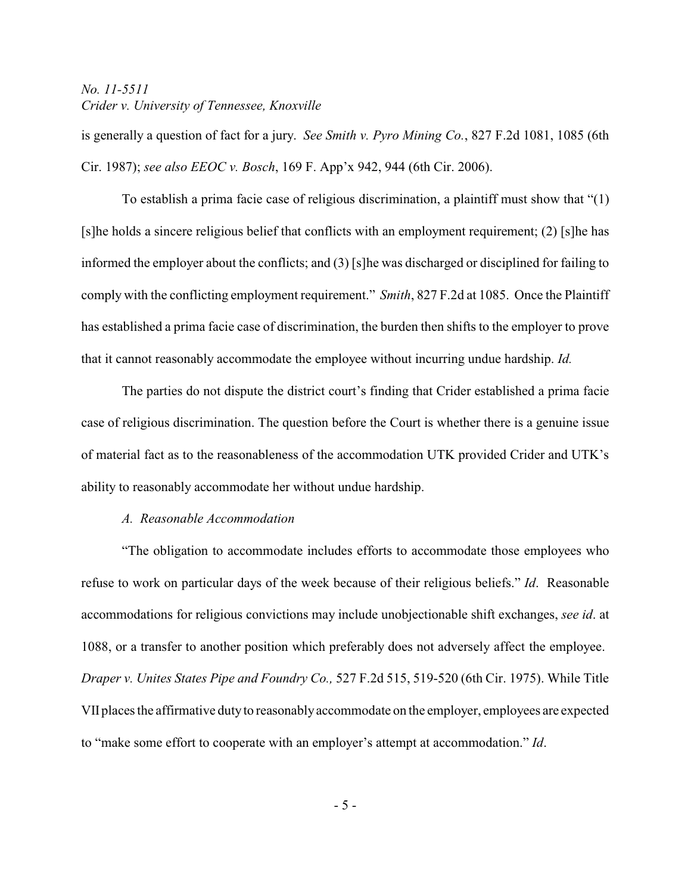is generally a question of fact for a jury. *See Smith v. Pyro Mining Co.*, 827 F.2d 1081, 1085 (6th Cir. 1987); *see also EEOC v. Bosch*, 169 F. App'x 942, 944 (6th Cir. 2006).

To establish a prima facie case of religious discrimination, a plaintiff must show that "(1) [s]he holds a sincere religious belief that conflicts with an employment requirement; (2) [s]he has informed the employer about the conflicts; and (3) [s]he was discharged or disciplined for failing to comply with the conflicting employment requirement." *Smith*, 827 F.2d at 1085. Once the Plaintiff has established a prima facie case of discrimination, the burden then shifts to the employer to prove that it cannot reasonably accommodate the employee without incurring undue hardship. *Id.* 

The parties do not dispute the district court's finding that Crider established a prima facie case of religious discrimination. The question before the Court is whether there is a genuine issue of material fact as to the reasonableness of the accommodation UTK provided Crider and UTK's ability to reasonably accommodate her without undue hardship.

#### *A. Reasonable Accommodation*

"The obligation to accommodate includes efforts to accommodate those employees who refuse to work on particular days of the week because of their religious beliefs." *Id*. Reasonable accommodations for religious convictions may include unobjectionable shift exchanges, *see id*. at 1088, or a transfer to another position which preferably does not adversely affect the employee. *Draper v. Unites States Pipe and Foundry Co.,* 527 F.2d 515, 519-520 (6th Cir. 1975). While Title VII places the affirmative duty to reasonably accommodate on the employer, employees are expected to "make some effort to cooperate with an employer's attempt at accommodation." *Id*.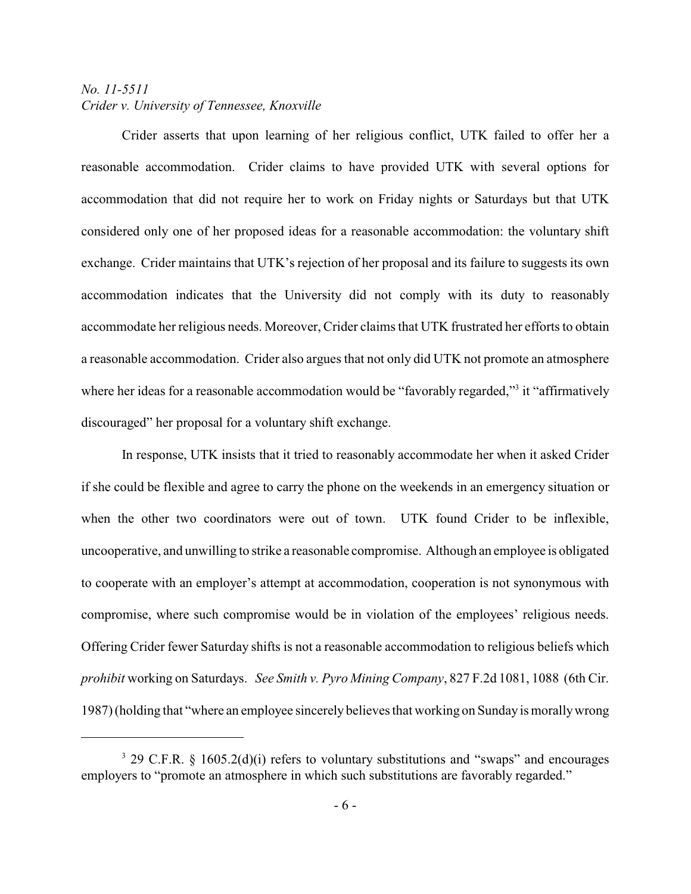Crider asserts that upon learning of her religious conflict, UTK failed to offer her a reasonable accommodation. Crider claims to have provided UTK with several options for accommodation that did not require her to work on Friday nights or Saturdays but that UTK considered only one of her proposed ideas for a reasonable accommodation: the voluntary shift exchange. Crider maintains that UTK's rejection of her proposal and its failure to suggests its own accommodation indicates that the University did not comply with its duty to reasonably accommodate her religious needs. Moreover, Crider claims that UTK frustrated her efforts to obtain a reasonable accommodation. Crider also argues that not only did UTK not promote an atmosphere where her ideas for a reasonable accommodation would be "favorably regarded,"<sup>3</sup> it "affirmatively discouraged" her proposal for a voluntary shift exchange.

In response, UTK insists that it tried to reasonably accommodate her when it asked Crider if she could be flexible and agree to carry the phone on the weekends in an emergency situation or when the other two coordinators were out of town. UTK found Crider to be inflexible, uncooperative, and unwilling to strike a reasonable compromise. Although an employee is obligated to cooperate with an employer's attempt at accommodation, cooperation is not synonymous with compromise, where such compromise would be in violation of the employees' religious needs. Offering Crider fewer Saturday shifts is not a reasonable accommodation to religious beliefs which *prohibit* working on Saturdays. *See Smith v. Pyro Mining Company*, 827 F.2d 1081, 1088 (6th Cir. 1987) (holding that "where an employee sincerely believes that working on Sunday is morallywrong

 $3$  29 C.F.R. § 1605.2(d)(i) refers to voluntary substitutions and "swaps" and encourages employers to "promote an atmosphere in which such substitutions are favorably regarded."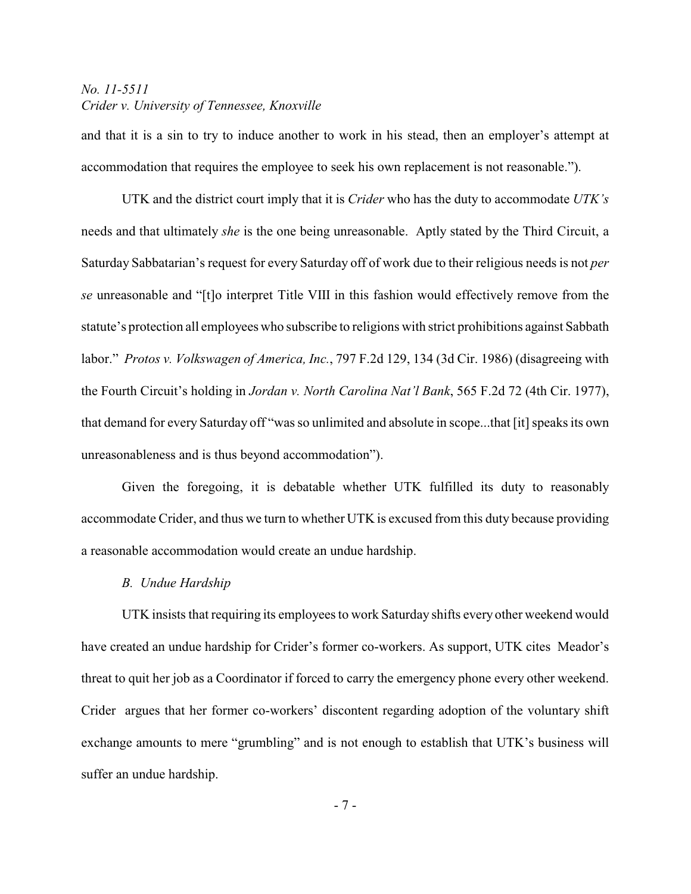and that it is a sin to try to induce another to work in his stead, then an employer's attempt at accommodation that requires the employee to seek his own replacement is not reasonable.").

UTK and the district court imply that it is *Crider* who has the duty to accommodate *UTK's* needs and that ultimately *she* is the one being unreasonable. Aptly stated by the Third Circuit, a Saturday Sabbatarian's request for every Saturday off of work due to their religious needs is not *per se* unreasonable and "[t]o interpret Title VIII in this fashion would effectively remove from the statute's protection all employees who subscribe to religions with strict prohibitions against Sabbath labor." *Protos v. Volkswagen of America, Inc.*, 797 F.2d 129, 134 (3d Cir. 1986) (disagreeing with the Fourth Circuit's holding in *Jordan v. North Carolina Nat'l Bank*, 565 F.2d 72 (4th Cir. 1977), that demand for every Saturday off "was so unlimited and absolute in scope...that [it] speaks its own unreasonableness and is thus beyond accommodation").

Given the foregoing, it is debatable whether UTK fulfilled its duty to reasonably accommodate Crider, and thus we turn to whether UTK is excused from this duty because providing a reasonable accommodation would create an undue hardship.

#### *B. Undue Hardship*

UTK insists that requiring its employees to work Saturday shifts every other weekend would have created an undue hardship for Crider's former co-workers. As support, UTK cites Meador's threat to quit her job as a Coordinator if forced to carry the emergency phone every other weekend. Crider argues that her former co-workers' discontent regarding adoption of the voluntary shift exchange amounts to mere "grumbling" and is not enough to establish that UTK's business will suffer an undue hardship.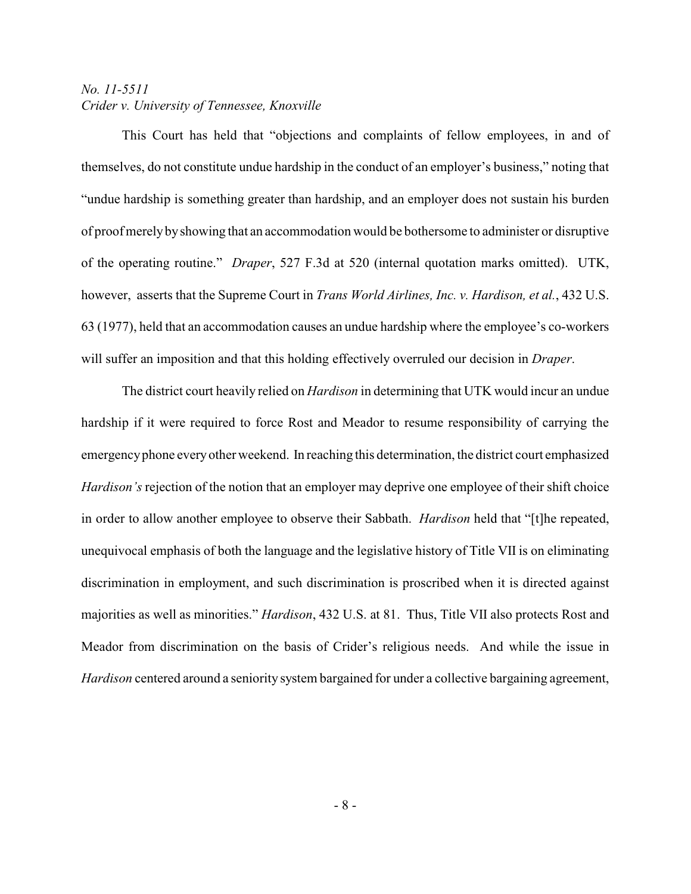This Court has held that "objections and complaints of fellow employees, in and of themselves, do not constitute undue hardship in the conduct of an employer's business," noting that "undue hardship is something greater than hardship, and an employer does not sustain his burden of proof merelybyshowing that an accommodation would be bothersome to administer or disruptive of the operating routine." *Draper*, 527 F.3d at 520 (internal quotation marks omitted). UTK, however, asserts that the Supreme Court in *Trans World Airlines, Inc. v. Hardison, et al.*, 432 U.S. 63 (1977), held that an accommodation causes an undue hardship where the employee's co-workers will suffer an imposition and that this holding effectively overruled our decision in *Draper*.

The district court heavily relied on *Hardison* in determining that UTK would incur an undue hardship if it were required to force Rost and Meador to resume responsibility of carrying the emergencyphone everyother weekend. In reaching this determination, the district court emphasized *Hardison's* rejection of the notion that an employer may deprive one employee of their shift choice in order to allow another employee to observe their Sabbath. *Hardison* held that "[t]he repeated, unequivocal emphasis of both the language and the legislative history of Title VII is on eliminating discrimination in employment, and such discrimination is proscribed when it is directed against majorities as well as minorities." *Hardison*, 432 U.S. at 81. Thus, Title VII also protects Rost and Meador from discrimination on the basis of Crider's religious needs. And while the issue in *Hardison* centered around a seniority system bargained for under a collective bargaining agreement,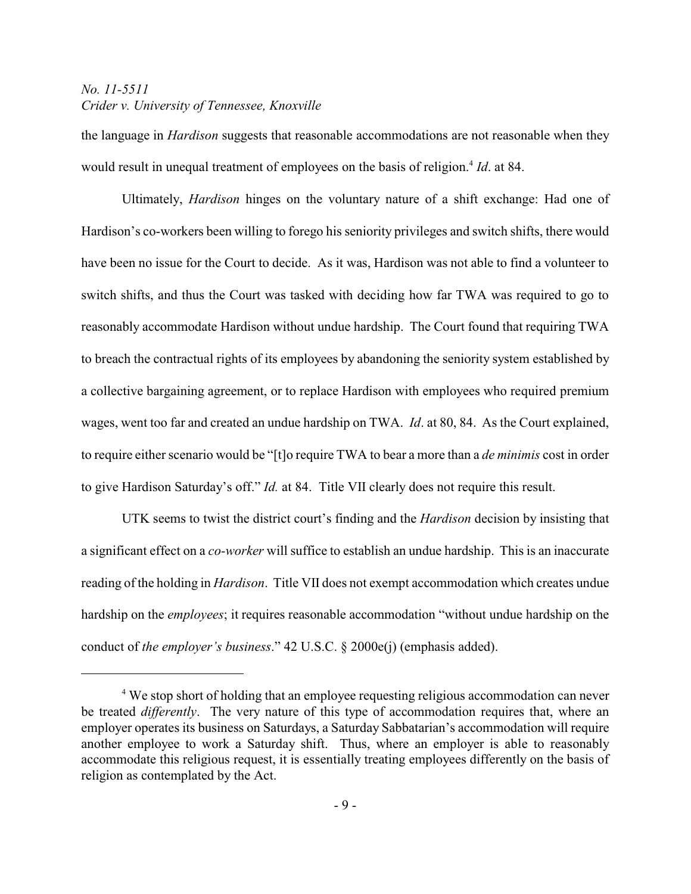the language in *Hardison* suggests that reasonable accommodations are not reasonable when they would result in unequal treatment of employees on the basis of religion.<sup>4</sup> *Id.* at 84.

Ultimately, *Hardison* hinges on the voluntary nature of a shift exchange: Had one of Hardison's co-workers been willing to forego his seniority privileges and switch shifts, there would have been no issue for the Court to decide. As it was, Hardison was not able to find a volunteer to switch shifts, and thus the Court was tasked with deciding how far TWA was required to go to reasonably accommodate Hardison without undue hardship. The Court found that requiring TWA to breach the contractual rights of its employees by abandoning the seniority system established by a collective bargaining agreement, or to replace Hardison with employees who required premium wages, went too far and created an undue hardship on TWA. *Id*. at 80, 84. As the Court explained, to require either scenario would be "[t]o require TWA to bear a more than a *de minimis* cost in order to give Hardison Saturday's off." *Id.* at 84. Title VII clearly does not require this result.

UTK seems to twist the district court's finding and the *Hardison* decision by insisting that a significant effect on a *co-worker* will suffice to establish an undue hardship. This is an inaccurate reading of the holding in *Hardison*. Title VII does not exempt accommodation which creates undue hardship on the *employees*; it requires reasonable accommodation "without undue hardship on the conduct of *the employer's business*." 42 U.S.C. § 2000e(j) (emphasis added).

<sup>&</sup>lt;sup>4</sup> We stop short of holding that an employee requesting religious accommodation can never be treated *differently*. The very nature of this type of accommodation requires that, where an employer operates its business on Saturdays, a Saturday Sabbatarian's accommodation will require another employee to work a Saturday shift. Thus, where an employer is able to reasonably accommodate this religious request, it is essentially treating employees differently on the basis of religion as contemplated by the Act.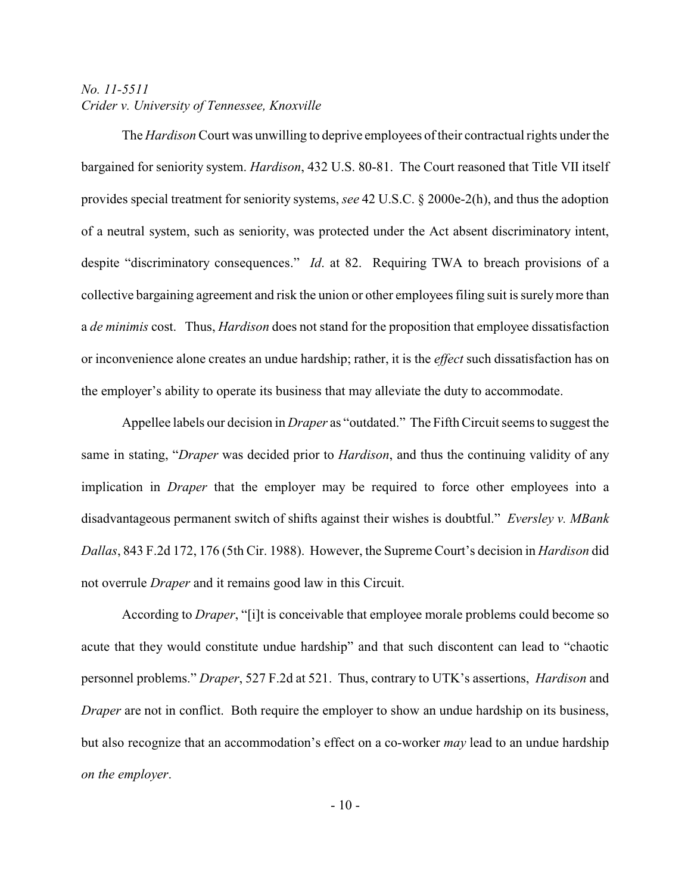The *Hardison* Court was unwilling to deprive employees of their contractual rights under the bargained for seniority system. *Hardison*, 432 U.S. 80-81. The Court reasoned that Title VII itself provides special treatment for seniority systems, *see* 42 U.S.C. § 2000e-2(h), and thus the adoption of a neutral system, such as seniority, was protected under the Act absent discriminatory intent, despite "discriminatory consequences." *Id*. at 82. Requiring TWA to breach provisions of a collective bargaining agreement and risk the union or other employees filing suit is surelymore than a *de minimis* cost. Thus, *Hardison* does not stand for the proposition that employee dissatisfaction or inconvenience alone creates an undue hardship; rather, it is the *effect* such dissatisfaction has on the employer's ability to operate its business that may alleviate the duty to accommodate.

Appellee labels our decision in *Draper* as "outdated." The Fifth Circuit seems to suggest the same in stating, "*Draper* was decided prior to *Hardison*, and thus the continuing validity of any implication in *Draper* that the employer may be required to force other employees into a disadvantageous permanent switch of shifts against their wishes is doubtful." *Eversley v. MBank Dallas*, 843 F.2d 172, 176 (5th Cir. 1988). However, the Supreme Court's decision in *Hardison* did not overrule *Draper* and it remains good law in this Circuit.

According to *Draper*, "[i]t is conceivable that employee morale problems could become so acute that they would constitute undue hardship" and that such discontent can lead to "chaotic personnel problems." *Draper*, 527 F.2d at 521. Thus, contrary to UTK's assertions, *Hardison* and *Draper* are not in conflict. Both require the employer to show an undue hardship on its business, but also recognize that an accommodation's effect on a co-worker *may* lead to an undue hardship *on the employer*.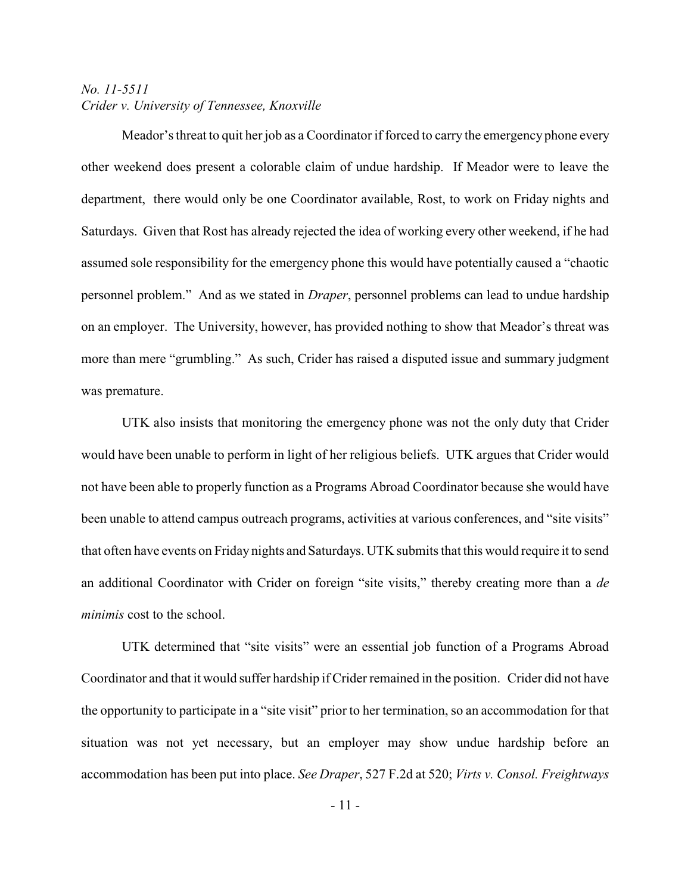Meador's threat to quit her job as a Coordinator if forced to carry the emergency phone every other weekend does present a colorable claim of undue hardship. If Meador were to leave the department, there would only be one Coordinator available, Rost, to work on Friday nights and Saturdays. Given that Rost has already rejected the idea of working every other weekend, if he had assumed sole responsibility for the emergency phone this would have potentially caused a "chaotic personnel problem." And as we stated in *Draper*, personnel problems can lead to undue hardship on an employer. The University, however, has provided nothing to show that Meador's threat was more than mere "grumbling." As such, Crider has raised a disputed issue and summary judgment was premature.

UTK also insists that monitoring the emergency phone was not the only duty that Crider would have been unable to perform in light of her religious beliefs. UTK argues that Crider would not have been able to properly function as a Programs Abroad Coordinator because she would have been unable to attend campus outreach programs, activities at various conferences, and "site visits" that often have events on Friday nights and Saturdays. UTK submits that this would require it to send an additional Coordinator with Crider on foreign "site visits," thereby creating more than a *de minimis* cost to the school.

UTK determined that "site visits" were an essential job function of a Programs Abroad Coordinator and that it would suffer hardship if Crider remained in the position. Crider did not have the opportunity to participate in a "site visit" prior to her termination, so an accommodation for that situation was not yet necessary, but an employer may show undue hardship before an accommodation has been put into place. *See Draper*, 527 F.2d at 520; *Virts v. Consol. Freightways*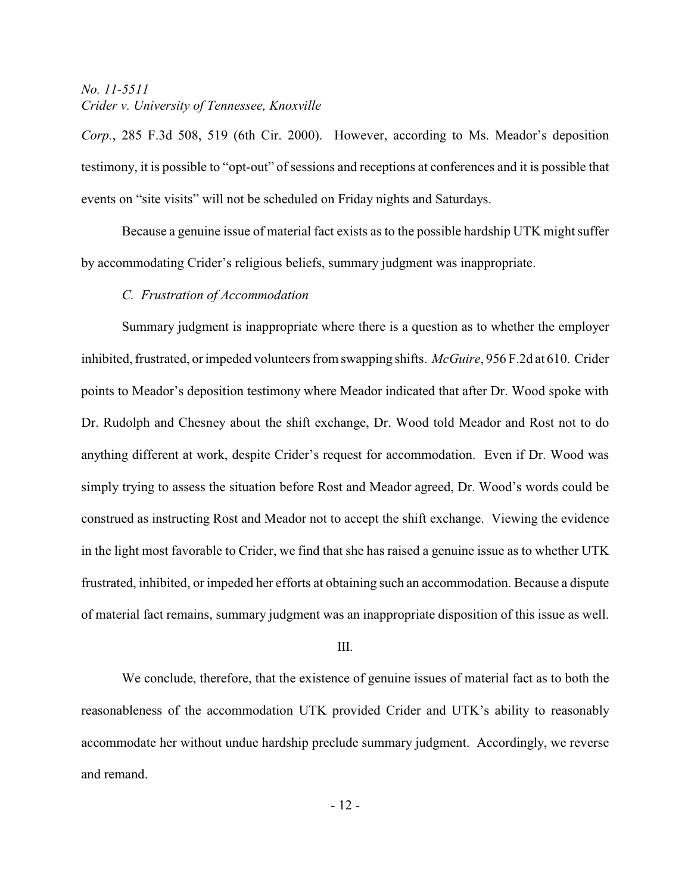*Corp.*, 285 F.3d 508, 519 (6th Cir. 2000). However, according to Ms. Meador's deposition testimony, it is possible to "opt-out" of sessions and receptions at conferences and it is possible that events on "site visits" will not be scheduled on Friday nights and Saturdays.

Because a genuine issue of material fact exists as to the possible hardship UTK might suffer by accommodating Crider's religious beliefs, summary judgment was inappropriate.

#### *C. Frustration of Accommodation*

Summary judgment is inappropriate where there is a question as to whether the employer inhibited, frustrated, or impeded volunteers from swapping shifts. *McGuire*, 956 F.2d at 610. Crider points to Meador's deposition testimony where Meador indicated that after Dr. Wood spoke with Dr. Rudolph and Chesney about the shift exchange, Dr. Wood told Meador and Rost not to do anything different at work, despite Crider's request for accommodation. Even if Dr. Wood was simply trying to assess the situation before Rost and Meador agreed, Dr. Wood's words could be construed as instructing Rost and Meador not to accept the shift exchange. Viewing the evidence in the light most favorable to Crider, we find that she has raised a genuine issue as to whether UTK frustrated, inhibited, or impeded her efforts at obtaining such an accommodation. Because a dispute of material fact remains, summary judgment was an inappropriate disposition of this issue as well.

#### III.

We conclude, therefore, that the existence of genuine issues of material fact as to both the reasonableness of the accommodation UTK provided Crider and UTK's ability to reasonably accommodate her without undue hardship preclude summary judgment. Accordingly, we reverse and remand.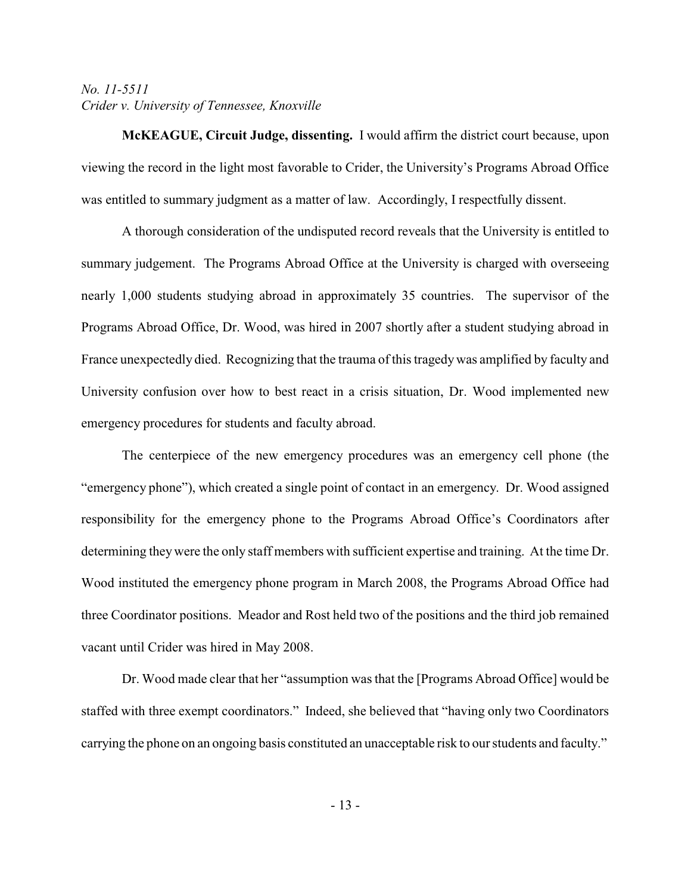**McKEAGUE, Circuit Judge, dissenting.** I would affirm the district court because, upon viewing the record in the light most favorable to Crider, the University's Programs Abroad Office was entitled to summary judgment as a matter of law. Accordingly, I respectfully dissent.

A thorough consideration of the undisputed record reveals that the University is entitled to summary judgement. The Programs Abroad Office at the University is charged with overseeing nearly 1,000 students studying abroad in approximately 35 countries. The supervisor of the Programs Abroad Office, Dr. Wood, was hired in 2007 shortly after a student studying abroad in France unexpectedly died. Recognizing that the trauma of this tragedywas amplified by faculty and University confusion over how to best react in a crisis situation, Dr. Wood implemented new emergency procedures for students and faculty abroad.

The centerpiece of the new emergency procedures was an emergency cell phone (the "emergency phone"), which created a single point of contact in an emergency. Dr. Wood assigned responsibility for the emergency phone to the Programs Abroad Office's Coordinators after determining theywere the only staff members with sufficient expertise and training. At the time Dr. Wood instituted the emergency phone program in March 2008, the Programs Abroad Office had three Coordinator positions. Meador and Rost held two of the positions and the third job remained vacant until Crider was hired in May 2008.

Dr. Wood made clear that her "assumption was that the [Programs Abroad Office] would be staffed with three exempt coordinators." Indeed, she believed that "having only two Coordinators carrying the phone on an ongoing basis constituted an unacceptable risk to our students and faculty."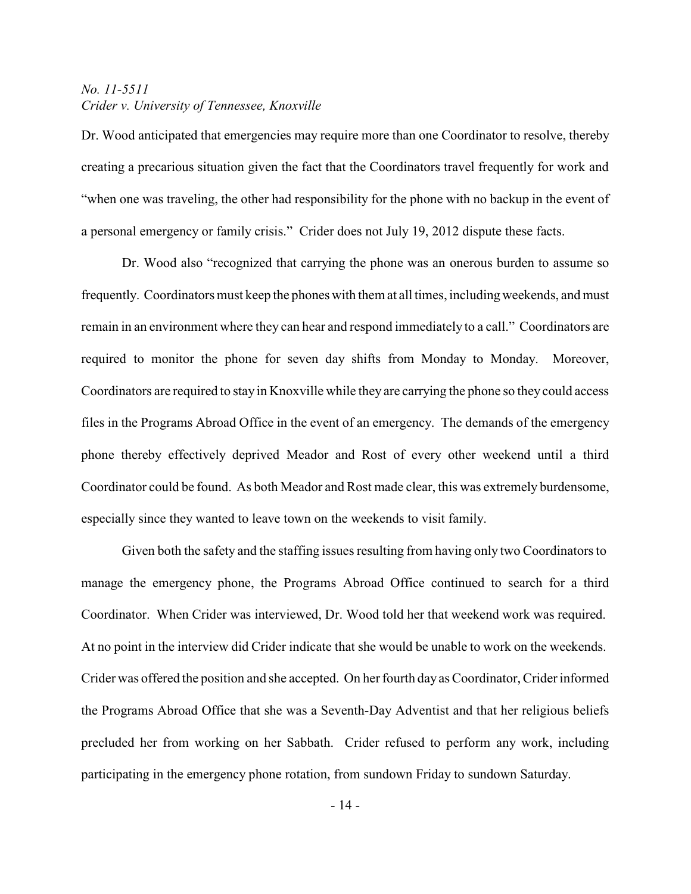Dr. Wood anticipated that emergencies may require more than one Coordinator to resolve, thereby creating a precarious situation given the fact that the Coordinators travel frequently for work and "when one was traveling, the other had responsibility for the phone with no backup in the event of a personal emergency or family crisis." Crider does not July 19, 2012 dispute these facts.

Dr. Wood also "recognized that carrying the phone was an onerous burden to assume so frequently. Coordinators must keep the phones with them at all times, including weekends, and must remain in an environment where they can hear and respond immediately to a call." Coordinators are required to monitor the phone for seven day shifts from Monday to Monday. Moreover, Coordinators are required to stay in Knoxville while they are carrying the phone so they could access files in the Programs Abroad Office in the event of an emergency. The demands of the emergency phone thereby effectively deprived Meador and Rost of every other weekend until a third Coordinator could be found. As both Meador and Rost made clear, this was extremely burdensome, especially since they wanted to leave town on the weekends to visit family.

Given both the safety and the staffing issues resulting from having only two Coordinators to manage the emergency phone, the Programs Abroad Office continued to search for a third Coordinator. When Crider was interviewed, Dr. Wood told her that weekend work was required. At no point in the interview did Crider indicate that she would be unable to work on the weekends. Crider was offered the position and she accepted. On her fourth day as Coordinator, Crider informed the Programs Abroad Office that she was a Seventh-Day Adventist and that her religious beliefs precluded her from working on her Sabbath. Crider refused to perform any work, including participating in the emergency phone rotation, from sundown Friday to sundown Saturday.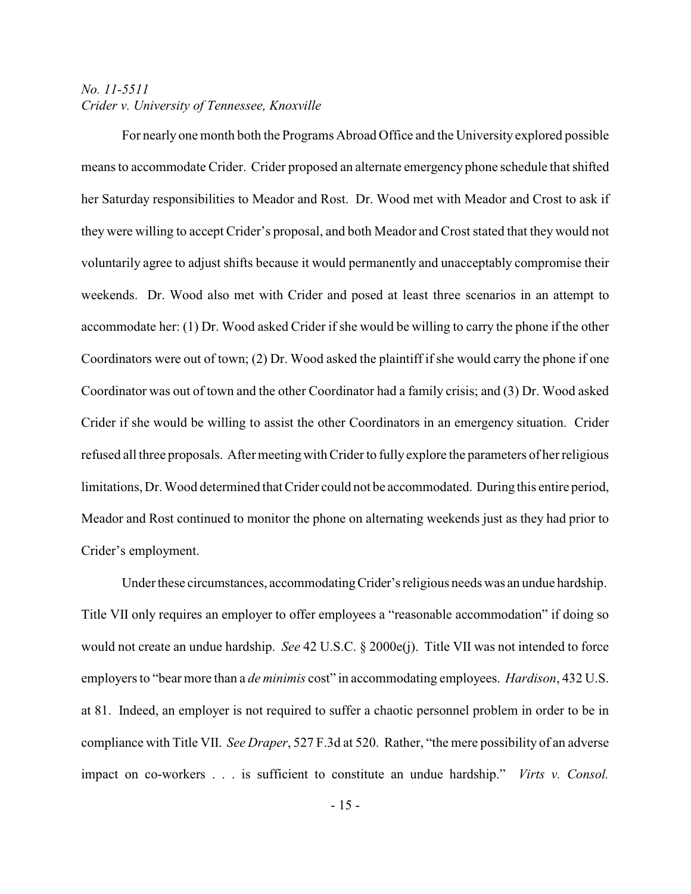For nearly one month both the Programs Abroad Office and the University explored possible means to accommodate Crider. Crider proposed an alternate emergency phone schedule that shifted her Saturday responsibilities to Meador and Rost. Dr. Wood met with Meador and Crost to ask if they were willing to accept Crider's proposal, and both Meador and Crost stated that they would not voluntarily agree to adjust shifts because it would permanently and unacceptably compromise their weekends. Dr. Wood also met with Crider and posed at least three scenarios in an attempt to accommodate her: (1) Dr. Wood asked Crider if she would be willing to carry the phone if the other Coordinators were out of town; (2) Dr. Wood asked the plaintiff if she would carry the phone if one Coordinator was out of town and the other Coordinator had a family crisis; and (3) Dr. Wood asked Crider if she would be willing to assist the other Coordinators in an emergency situation. Crider refused all three proposals. Aftermeetingwith Crider to fully explore the parameters of her religious limitations, Dr. Wood determined that Crider could not be accommodated. During this entire period, Meador and Rost continued to monitor the phone on alternating weekends just as they had prior to Crider's employment.

Under these circumstances, accommodating Crider's religious needs was an undue hardship. Title VII only requires an employer to offer employees a "reasonable accommodation" if doing so would not create an undue hardship. *See* 42 U.S.C. § 2000e(j). Title VII was not intended to force employers to "bear more than a *de minimis* cost" in accommodating employees. *Hardison*, 432 U.S. at 81. Indeed, an employer is not required to suffer a chaotic personnel problem in order to be in compliance with Title VII. *See Draper*, 527 F.3d at 520. Rather, "the mere possibility of an adverse impact on co-workers . . . is sufficient to constitute an undue hardship." *Virts v. Consol.*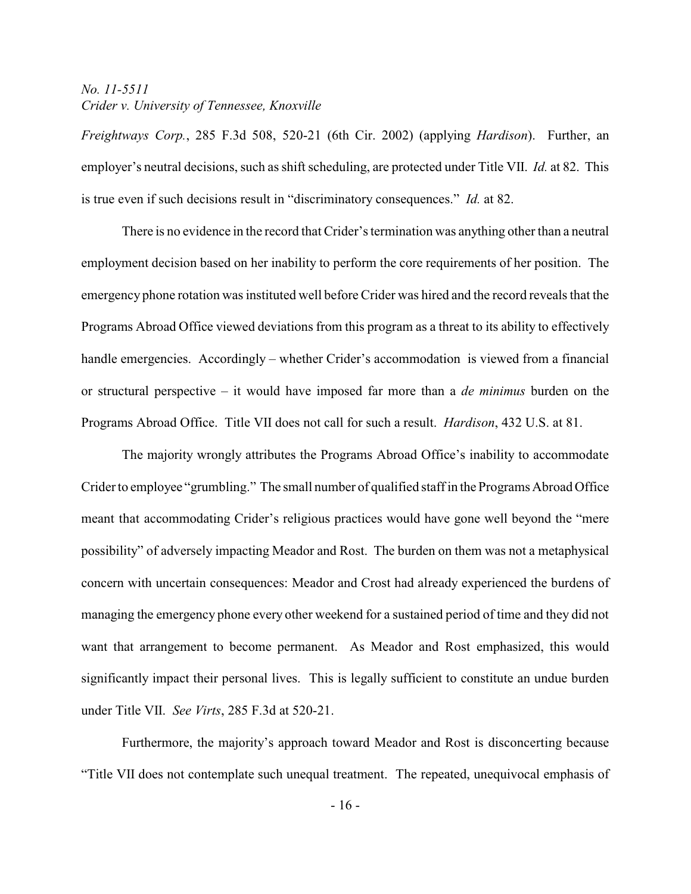*Freightways Corp.*, 285 F.3d 508, 520-21 (6th Cir. 2002) (applying *Hardison*). Further, an employer's neutral decisions, such as shift scheduling, are protected under Title VII. *Id.* at 82. This is true even if such decisions result in "discriminatory consequences." *Id.* at 82.

There is no evidence in the record that Crider's termination was anything other than a neutral employment decision based on her inability to perform the core requirements of her position. The emergency phone rotation was instituted well before Crider was hired and the record reveals that the Programs Abroad Office viewed deviations from this program as a threat to its ability to effectively handle emergencies. Accordingly – whether Crider's accommodation is viewed from a financial or structural perspective – it would have imposed far more than a *de minimus* burden on the Programs Abroad Office. Title VII does not call for such a result. *Hardison*, 432 U.S. at 81.

The majority wrongly attributes the Programs Abroad Office's inability to accommodate Crider to employee "grumbling." The small number of qualified staff in the Programs Abroad Office meant that accommodating Crider's religious practices would have gone well beyond the "mere possibility" of adversely impacting Meador and Rost. The burden on them was not a metaphysical concern with uncertain consequences: Meador and Crost had already experienced the burdens of managing the emergency phone every other weekend for a sustained period of time and they did not want that arrangement to become permanent. As Meador and Rost emphasized, this would significantly impact their personal lives. This is legally sufficient to constitute an undue burden under Title VII. *See Virts*, 285 F.3d at 520-21.

Furthermore, the majority's approach toward Meador and Rost is disconcerting because "Title VII does not contemplate such unequal treatment. The repeated, unequivocal emphasis of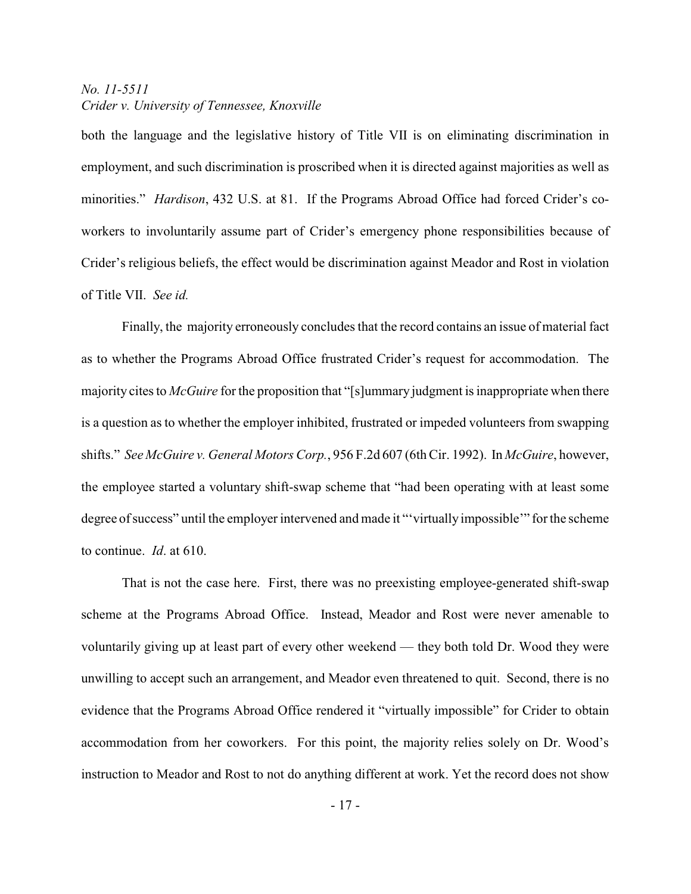both the language and the legislative history of Title VII is on eliminating discrimination in employment, and such discrimination is proscribed when it is directed against majorities as well as minorities." *Hardison*, 432 U.S. at 81. If the Programs Abroad Office had forced Crider's coworkers to involuntarily assume part of Crider's emergency phone responsibilities because of Crider's religious beliefs, the effect would be discrimination against Meador and Rost in violation of Title VII. *See id.* 

Finally, the majority erroneously concludes that the record contains an issue of material fact as to whether the Programs Abroad Office frustrated Crider's request for accommodation. The majority cites to *McGuire* for the proposition that "[s]ummary judgment is inappropriate when there is a question as to whether the employer inhibited, frustrated or impeded volunteers from swapping shifts." *See McGuire v. General Motors Corp.*, 956 F.2d 607 (6th Cir. 1992). In *McGuire*, however, the employee started a voluntary shift-swap scheme that "had been operating with at least some degree of success" until the employer intervened and made it "'virtually impossible'" for the scheme to continue. *Id*. at 610.

That is not the case here. First, there was no preexisting employee-generated shift-swap scheme at the Programs Abroad Office. Instead, Meador and Rost were never amenable to voluntarily giving up at least part of every other weekend — they both told Dr. Wood they were unwilling to accept such an arrangement, and Meador even threatened to quit. Second, there is no evidence that the Programs Abroad Office rendered it "virtually impossible" for Crider to obtain accommodation from her coworkers. For this point, the majority relies solely on Dr. Wood's instruction to Meador and Rost to not do anything different at work. Yet the record does not show